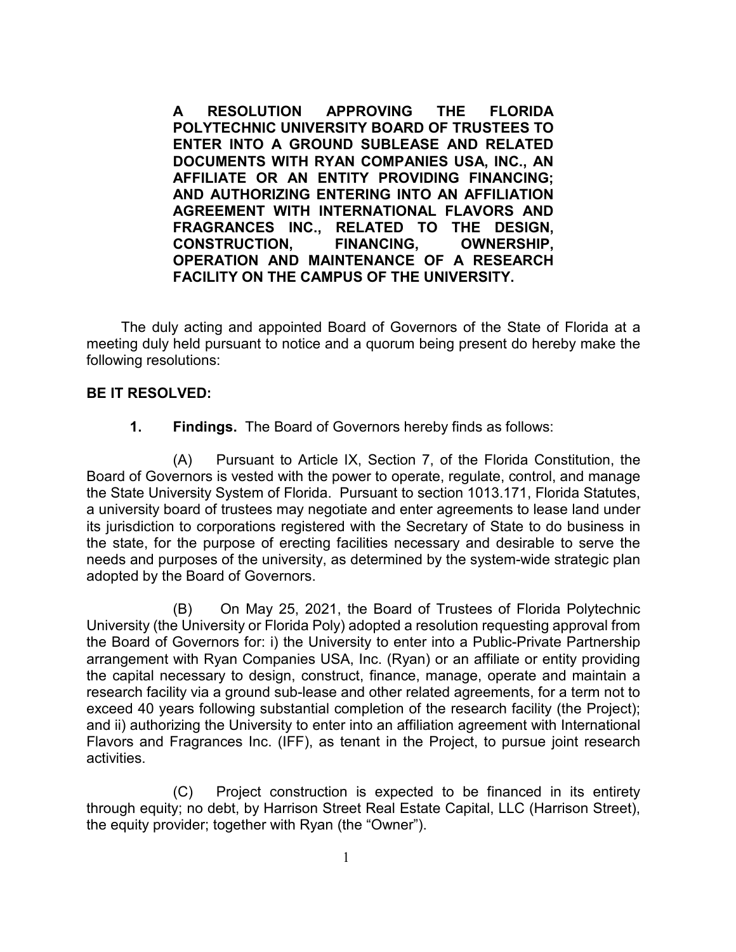**A RESOLUTION APPROVING THE FLORIDA POLYTECHNIC UNIVERSITY BOARD OF TRUSTEES TO ENTER INTO A GROUND SUBLEASE AND RELATED DOCUMENTS WITH RYAN COMPANIES USA, INC., AN AFFILIATE OR AN ENTITY PROVIDING FINANCING; AND AUTHORIZING ENTERING INTO AN AFFILIATION AGREEMENT WITH INTERNATIONAL FLAVORS AND FRAGRANCES INC., RELATED TO THE DESIGN, CONSTRUCTION, FINANCING, OWNERSHIP, OPERATION AND MAINTENANCE OF A RESEARCH FACILITY ON THE CAMPUS OF THE UNIVERSITY.**

The duly acting and appointed Board of Governors of the State of Florida at a meeting duly held pursuant to notice and a quorum being present do hereby make the following resolutions:

## **BE IT RESOLVED:**

**1. Findings.** The Board of Governors hereby finds as follows:

(A) Pursuant to Article IX, Section 7, of the Florida Constitution, the Board of Governors is vested with the power to operate, regulate, control, and manage the State University System of Florida. Pursuant to section 1013.171, Florida Statutes, a university board of trustees may negotiate and enter agreements to lease land under its jurisdiction to corporations registered with the Secretary of State to do business in the state, for the purpose of erecting facilities necessary and desirable to serve the needs and purposes of the university, as determined by the system-wide strategic plan adopted by the Board of Governors.

(B) On May 25, 2021, the Board of Trustees of Florida Polytechnic University (the University or Florida Poly) adopted a resolution requesting approval from the Board of Governors for: i) the University to enter into a Public-Private Partnership arrangement with Ryan Companies USA, Inc. (Ryan) or an affiliate or entity providing the capital necessary to design, construct, finance, manage, operate and maintain a research facility via a ground sub-lease and other related agreements, for a term not to exceed 40 years following substantial completion of the research facility (the Project); and ii) authorizing the University to enter into an affiliation agreement with International Flavors and Fragrances Inc. (IFF), as tenant in the Project, to pursue joint research activities.

(C) Project construction is expected to be financed in its entirety through equity; no debt, by Harrison Street Real Estate Capital, LLC (Harrison Street), the equity provider; together with Ryan (the "Owner").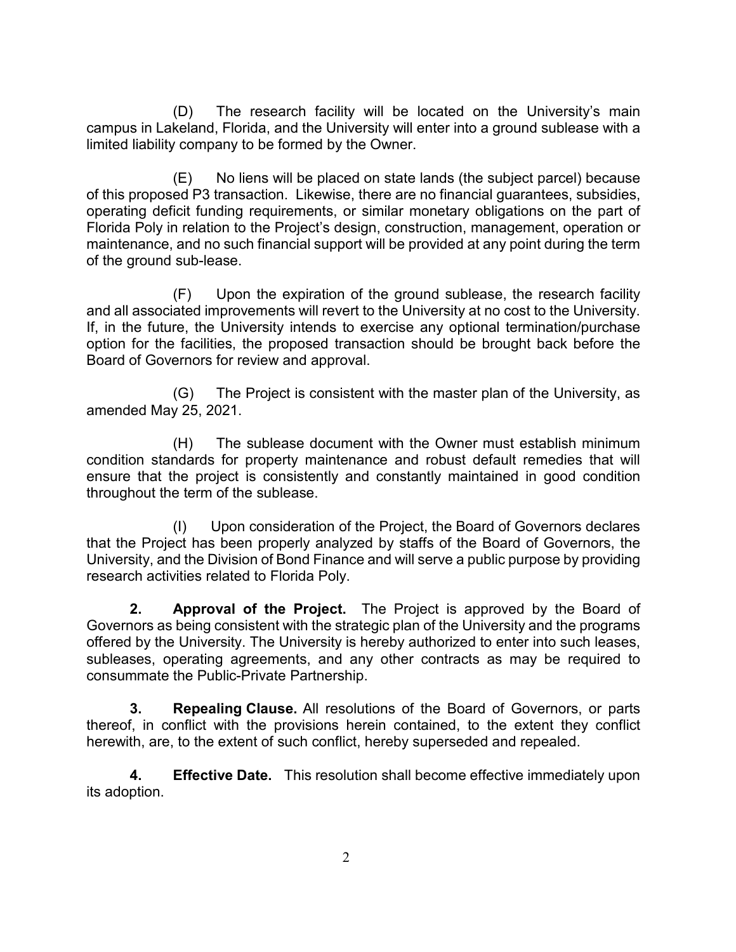(D) The research facility will be located on the University's main campus in Lakeland, Florida, and the University will enter into a ground sublease with a limited liability company to be formed by the Owner.

(E) No liens will be placed on state lands (the subject parcel) because of this proposed P3 transaction. Likewise, there are no financial guarantees, subsidies, operating deficit funding requirements, or similar monetary obligations on the part of Florida Poly in relation to the Project's design, construction, management, operation or maintenance, and no such financial support will be provided at any point during the term of the ground sub-lease.

(F) Upon the expiration of the ground sublease, the research facility and all associated improvements will revert to the University at no cost to the University. If, in the future, the University intends to exercise any optional termination/purchase option for the facilities, the proposed transaction should be brought back before the Board of Governors for review and approval.

(G) The Project is consistent with the master plan of the University, as amended May 25, 2021.

(H) The sublease document with the Owner must establish minimum condition standards for property maintenance and robust default remedies that will ensure that the project is consistently and constantly maintained in good condition throughout the term of the sublease.

(I) Upon consideration of the Project, the Board of Governors declares that the Project has been properly analyzed by staffs of the Board of Governors, the University, and the Division of Bond Finance and will serve a public purpose by providing research activities related to Florida Poly.

**2. Approval of the Project.** The Project is approved by the Board of Governors as being consistent with the strategic plan of the University and the programs offered by the University. The University is hereby authorized to enter into such leases, subleases, operating agreements, and any other contracts as may be required to consummate the Public-Private Partnership.

**3. Repealing Clause.** All resolutions of the Board of Governors, or parts thereof, in conflict with the provisions herein contained, to the extent they conflict herewith, are, to the extent of such conflict, hereby superseded and repealed.

**4. Effective Date.** This resolution shall become effective immediately upon its adoption.